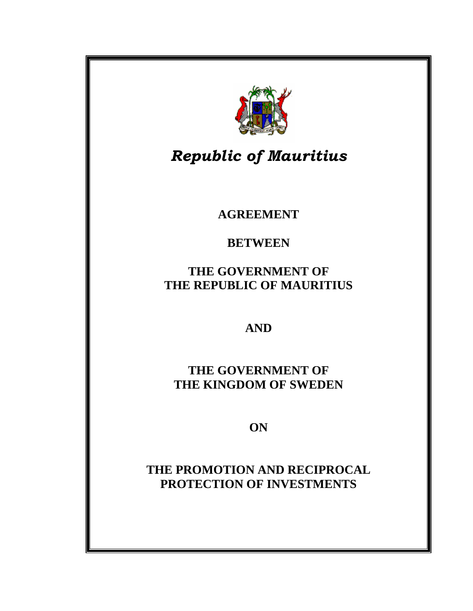

*Republic of Mauritius* 

**AGREEMENT** 

# **BETWEEN**

**THE GOVERNMENT OF THE REPUBLIC OF MAURITIUS** 

**AND** 

**THE GOVERNMENT OF THE KINGDOM OF SWEDEN** 

**ON** 

**THE PROMOTION AND RECIPROCAL PROTECTION OF INVESTMENTS**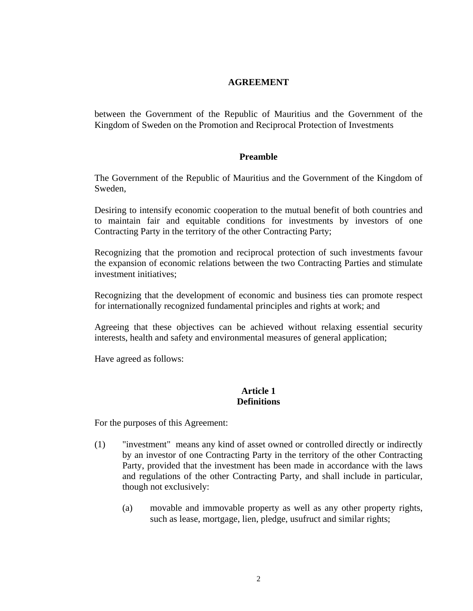# **AGREEMENT**

between the Government of the Republic of Mauritius and the Government of the Kingdom of Sweden on the Promotion and Reciprocal Protection of Investments

### **Preamble**

The Government of the Republic of Mauritius and the Government of the Kingdom of Sweden,

Desiring to intensify economic cooperation to the mutual benefit of both countries and to maintain fair and equitable conditions for investments by investors of one Contracting Party in the territory of the other Contracting Party;

Recognizing that the promotion and reciprocal protection of such investments favour the expansion of economic relations between the two Contracting Parties and stimulate investment initiatives;

Recognizing that the development of economic and business ties can promote respect for internationally recognized fundamental principles and rights at work; and

Agreeing that these objectives can be achieved without relaxing essential security interests, health and safety and environmental measures of general application;

Have agreed as follows:

## **Article 1 Definitions**

For the purposes of this Agreement:

- (1) "investment" means any kind of asset owned or controlled directly or indirectly by an investor of one Contracting Party in the territory of the other Contracting Party, provided that the investment has been made in accordance with the laws and regulations of the other Contracting Party, and shall include in particular, though not exclusively:
	- (a) movable and immovable property as well as any other property rights, such as lease, mortgage, lien, pledge, usufruct and similar rights;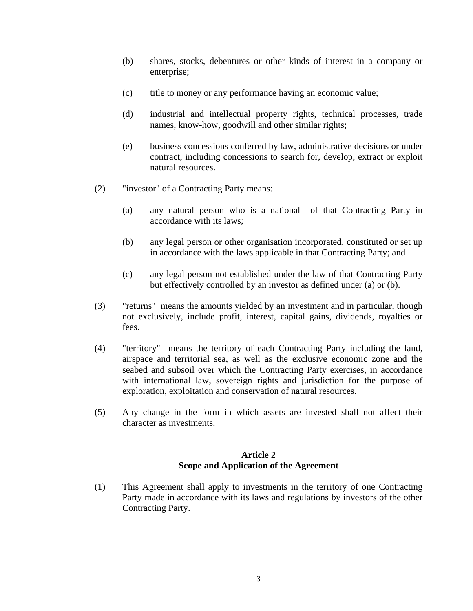- (b) shares, stocks, debentures or other kinds of interest in a company or enterprise;
- (c) title to money or any performance having an economic value;
- (d) industrial and intellectual property rights, technical processes, trade names, know-how, goodwill and other similar rights;
- (e) business concessions conferred by law, administrative decisions or under contract, including concessions to search for, develop, extract or exploit natural resources.
- (2) "investor" of a Contracting Party means:
	- (a) any natural person who is a national of that Contracting Party in accordance with its laws;
	- (b) any legal person or other organisation incorporated, constituted or set up in accordance with the laws applicable in that Contracting Party; and
	- (c) any legal person not established under the law of that Contracting Party but effectively controlled by an investor as defined under (a) or (b).
- (3) "returns" means the amounts yielded by an investment and in particular, though not exclusively, include profit, interest, capital gains, dividends, royalties or fees.
- (4) "territory" means the territory of each Contracting Party including the land, airspace and territorial sea, as well as the exclusive economic zone and the seabed and subsoil over which the Contracting Party exercises, in accordance with international law, sovereign rights and jurisdiction for the purpose of exploration, exploitation and conservation of natural resources.
- (5) Any change in the form in which assets are invested shall not affect their character as investments.

#### **Article 2 Scope and Application of the Agreement**

(1) This Agreement shall apply to investments in the territory of one Contracting Party made in accordance with its laws and regulations by investors of the other Contracting Party.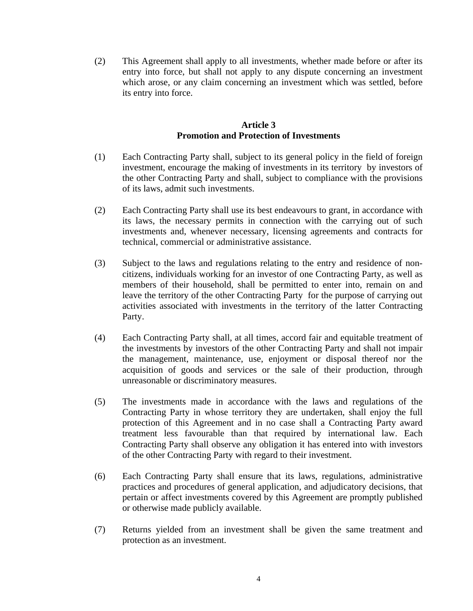(2) This Agreement shall apply to all investments, whether made before or after its entry into force, but shall not apply to any dispute concerning an investment which arose, or any claim concerning an investment which was settled, before its entry into force.

### **Article 3 Promotion and Protection of Investments**

- (1) Each Contracting Party shall, subject to its general policy in the field of foreign investment, encourage the making of investments in its territory by investors of the other Contracting Party and shall, subject to compliance with the provisions of its laws, admit such investments.
- (2) Each Contracting Party shall use its best endeavours to grant, in accordance with its laws, the necessary permits in connection with the carrying out of such investments and, whenever necessary, licensing agreements and contracts for technical, commercial or administrative assistance.
- (3) Subject to the laws and regulations relating to the entry and residence of noncitizens, individuals working for an investor of one Contracting Party, as well as members of their household, shall be permitted to enter into, remain on and leave the territory of the other Contracting Party for the purpose of carrying out activities associated with investments in the territory of the latter Contracting Party.
- (4) Each Contracting Party shall, at all times, accord fair and equitable treatment of the investments by investors of the other Contracting Party and shall not impair the management, maintenance, use, enjoyment or disposal thereof nor the acquisition of goods and services or the sale of their production, through unreasonable or discriminatory measures.
- (5) The investments made in accordance with the laws and regulations of the Contracting Party in whose territory they are undertaken, shall enjoy the full protection of this Agreement and in no case shall a Contracting Party award treatment less favourable than that required by international law. Each Contracting Party shall observe any obligation it has entered into with investors of the other Contracting Party with regard to their investment.
- (6) Each Contracting Party shall ensure that its laws, regulations, administrative practices and procedures of general application, and adjudicatory decisions, that pertain or affect investments covered by this Agreement are promptly published or otherwise made publicly available.
- (7) Returns yielded from an investment shall be given the same treatment and protection as an investment.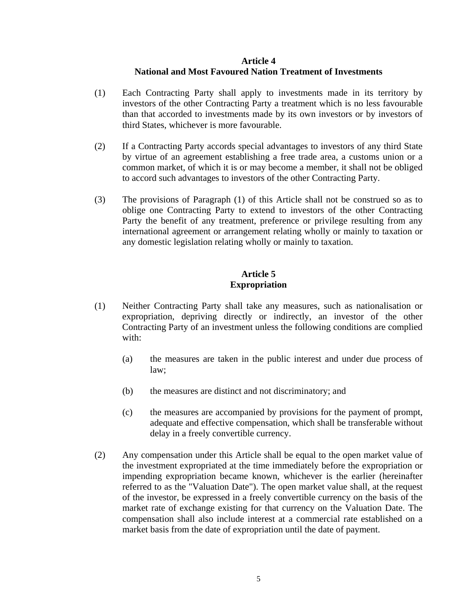## **Article 4 National and Most Favoured Nation Treatment of Investments**

- (1) Each Contracting Party shall apply to investments made in its territory by investors of the other Contracting Party a treatment which is no less favourable than that accorded to investments made by its own investors or by investors of third States, whichever is more favourable.
- (2) If a Contracting Party accords special advantages to investors of any third State by virtue of an agreement establishing a free trade area, a customs union or a common market, of which it is or may become a member, it shall not be obliged to accord such advantages to investors of the other Contracting Party.
- (3) The provisions of Paragraph (1) of this Article shall not be construed so as to oblige one Contracting Party to extend to investors of the other Contracting Party the benefit of any treatment, preference or privilege resulting from any international agreement or arrangement relating wholly or mainly to taxation or any domestic legislation relating wholly or mainly to taxation.

#### **Article 5 Expropriation**

- (1) Neither Contracting Party shall take any measures, such as nationalisation or expropriation, depriving directly or indirectly, an investor of the other Contracting Party of an investment unless the following conditions are complied with:
	- (a) the measures are taken in the public interest and under due process of law;
	- (b) the measures are distinct and not discriminatory; and
	- (c) the measures are accompanied by provisions for the payment of prompt, adequate and effective compensation, which shall be transferable without delay in a freely convertible currency.
- (2) Any compensation under this Article shall be equal to the open market value of the investment expropriated at the time immediately before the expropriation or impending expropriation became known, whichever is the earlier (hereinafter referred to as the "Valuation Date"). The open market value shall, at the request of the investor, be expressed in a freely convertible currency on the basis of the market rate of exchange existing for that currency on the Valuation Date. The compensation shall also include interest at a commercial rate established on a market basis from the date of expropriation until the date of payment.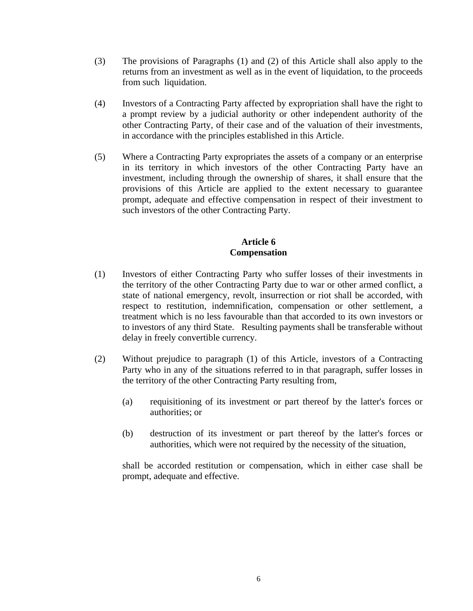- (3) The provisions of Paragraphs (1) and (2) of this Article shall also apply to the returns from an investment as well as in the event of liquidation, to the proceeds from such liquidation.
- (4) Investors of a Contracting Party affected by expropriation shall have the right to a prompt review by a judicial authority or other independent authority of the other Contracting Party, of their case and of the valuation of their investments, in accordance with the principles established in this Article.
- (5) Where a Contracting Party expropriates the assets of a company or an enterprise in its territory in which investors of the other Contracting Party have an investment, including through the ownership of shares, it shall ensure that the provisions of this Article are applied to the extent necessary to guarantee prompt, adequate and effective compensation in respect of their investment to such investors of the other Contracting Party.

## **Article 6 Compensation**

- (1) Investors of either Contracting Party who suffer losses of their investments in the territory of the other Contracting Party due to war or other armed conflict, a state of national emergency, revolt, insurrection or riot shall be accorded, with respect to restitution, indemnification, compensation or other settlement, a treatment which is no less favourable than that accorded to its own investors or to investors of any third State. Resulting payments shall be transferable without delay in freely convertible currency.
- (2) Without prejudice to paragraph (1) of this Article, investors of a Contracting Party who in any of the situations referred to in that paragraph, suffer losses in the territory of the other Contracting Party resulting from,
	- (a) requisitioning of its investment or part thereof by the latter's forces or authorities; or
	- (b) destruction of its investment or part thereof by the latter's forces or authorities, which were not required by the necessity of the situation,

shall be accorded restitution or compensation, which in either case shall be prompt, adequate and effective.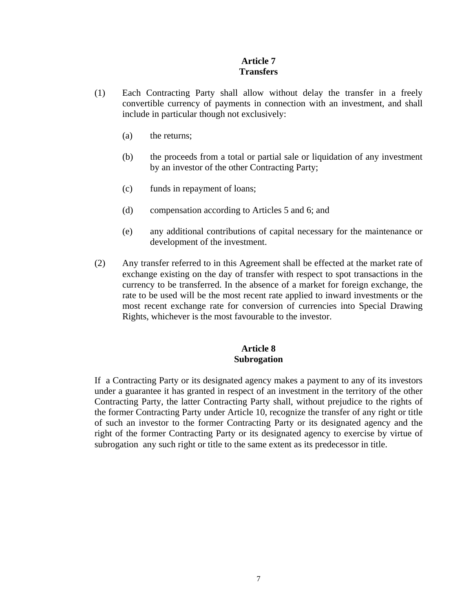#### **Article 7 Transfers**

- (1) Each Contracting Party shall allow without delay the transfer in a freely convertible currency of payments in connection with an investment, and shall include in particular though not exclusively:
	- (a) the returns;
	- (b) the proceeds from a total or partial sale or liquidation of any investment by an investor of the other Contracting Party;
	- (c) funds in repayment of loans;
	- (d) compensation according to Articles 5 and 6; and
	- (e) any additional contributions of capital necessary for the maintenance or development of the investment.
- (2) Any transfer referred to in this Agreement shall be effected at the market rate of exchange existing on the day of transfer with respect to spot transactions in the currency to be transferred. In the absence of a market for foreign exchange, the rate to be used will be the most recent rate applied to inward investments or the most recent exchange rate for conversion of currencies into Special Drawing Rights, whichever is the most favourable to the investor.

#### **Article 8 Subrogation**

If a Contracting Party or its designated agency makes a payment to any of its investors under a guarantee it has granted in respect of an investment in the territory of the other Contracting Party, the latter Contracting Party shall, without prejudice to the rights of the former Contracting Party under Article 10, recognize the transfer of any right or title of such an investor to the former Contracting Party or its designated agency and the right of the former Contracting Party or its designated agency to exercise by virtue of subrogation any such right or title to the same extent as its predecessor in title.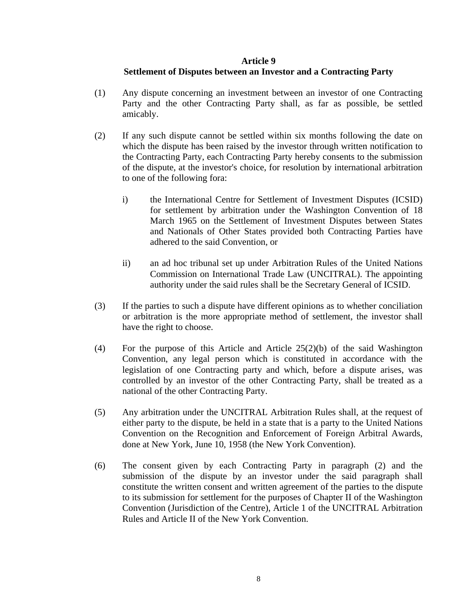# **Article 9 Settlement of Disputes between an Investor and a Contracting Party**

- (1) Any dispute concerning an investment between an investor of one Contracting Party and the other Contracting Party shall, as far as possible, be settled amicably.
- (2) If any such dispute cannot be settled within six months following the date on which the dispute has been raised by the investor through written notification to the Contracting Party, each Contracting Party hereby consents to the submission of the dispute, at the investor's choice, for resolution by international arbitration to one of the following fora:
	- i) the International Centre for Settlement of Investment Disputes (ICSID) for settlement by arbitration under the Washington Convention of 18 March 1965 on the Settlement of Investment Disputes between States and Nationals of Other States provided both Contracting Parties have adhered to the said Convention, or
	- ii) an ad hoc tribunal set up under Arbitration Rules of the United Nations Commission on International Trade Law (UNCITRAL). The appointing authority under the said rules shall be the Secretary General of ICSID.
- (3) If the parties to such a dispute have different opinions as to whether conciliation or arbitration is the more appropriate method of settlement, the investor shall have the right to choose.
- (4) For the purpose of this Article and Article 25(2)(b) of the said Washington Convention, any legal person which is constituted in accordance with the legislation of one Contracting party and which, before a dispute arises, was controlled by an investor of the other Contracting Party, shall be treated as a national of the other Contracting Party.
- (5) Any arbitration under the UNCITRAL Arbitration Rules shall, at the request of either party to the dispute, be held in a state that is a party to the United Nations Convention on the Recognition and Enforcement of Foreign Arbitral Awards, done at New York, June 10, 1958 (the New York Convention).
- (6) The consent given by each Contracting Party in paragraph (2) and the submission of the dispute by an investor under the said paragraph shall constitute the written consent and written agreement of the parties to the dispute to its submission for settlement for the purposes of Chapter II of the Washington Convention (Jurisdiction of the Centre), Article 1 of the UNCITRAL Arbitration Rules and Article II of the New York Convention.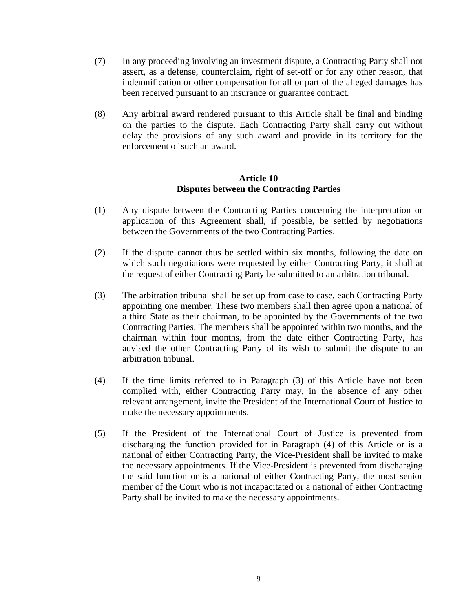- (7) In any proceeding involving an investment dispute, a Contracting Party shall not assert, as a defense, counterclaim, right of set-off or for any other reason, that indemnification or other compensation for all or part of the alleged damages has been received pursuant to an insurance or guarantee contract.
- (8) Any arbitral award rendered pursuant to this Article shall be final and binding on the parties to the dispute. Each Contracting Party shall carry out without delay the provisions of any such award and provide in its territory for the enforcement of such an award.

# **Article 10 Disputes between the Contracting Parties**

- (1) Any dispute between the Contracting Parties concerning the interpretation or application of this Agreement shall, if possible, be settled by negotiations between the Governments of the two Contracting Parties.
- (2) If the dispute cannot thus be settled within six months, following the date on which such negotiations were requested by either Contracting Party, it shall at the request of either Contracting Party be submitted to an arbitration tribunal.
- (3) The arbitration tribunal shall be set up from case to case, each Contracting Party appointing one member. These two members shall then agree upon a national of a third State as their chairman, to be appointed by the Governments of the two Contracting Parties. The members shall be appointed within two months, and the chairman within four months, from the date either Contracting Party, has advised the other Contracting Party of its wish to submit the dispute to an arbitration tribunal.
- (4) If the time limits referred to in Paragraph (3) of this Article have not been complied with, either Contracting Party may, in the absence of any other relevant arrangement, invite the President of the International Court of Justice to make the necessary appointments.
- (5) If the President of the International Court of Justice is prevented from discharging the function provided for in Paragraph (4) of this Article or is a national of either Contracting Party, the Vice-President shall be invited to make the necessary appointments. If the Vice-President is prevented from discharging the said function or is a national of either Contracting Party, the most senior member of the Court who is not incapacitated or a national of either Contracting Party shall be invited to make the necessary appointments.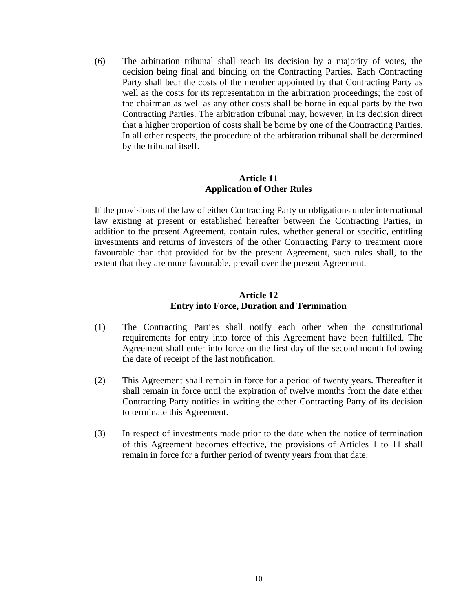(6) The arbitration tribunal shall reach its decision by a majority of votes, the decision being final and binding on the Contracting Parties. Each Contracting Party shall bear the costs of the member appointed by that Contracting Party as well as the costs for its representation in the arbitration proceedings; the cost of the chairman as well as any other costs shall be borne in equal parts by the two Contracting Parties. The arbitration tribunal may, however, in its decision direct that a higher proportion of costs shall be borne by one of the Contracting Parties. In all other respects, the procedure of the arbitration tribunal shall be determined by the tribunal itself.

## **Article 11 Application of Other Rules**

If the provisions of the law of either Contracting Party or obligations under international law existing at present or established hereafter between the Contracting Parties, in addition to the present Agreement, contain rules, whether general or specific, entitling investments and returns of investors of the other Contracting Party to treatment more favourable than that provided for by the present Agreement, such rules shall, to the extent that they are more favourable, prevail over the present Agreement.

# **Article 12 Entry into Force, Duration and Termination**

- (1) The Contracting Parties shall notify each other when the constitutional requirements for entry into force of this Agreement have been fulfilled. The Agreement shall enter into force on the first day of the second month following the date of receipt of the last notification.
- (2) This Agreement shall remain in force for a period of twenty years. Thereafter it shall remain in force until the expiration of twelve months from the date either Contracting Party notifies in writing the other Contracting Party of its decision to terminate this Agreement.
- (3) In respect of investments made prior to the date when the notice of termination of this Agreement becomes effective, the provisions of Articles 1 to 11 shall remain in force for a further period of twenty years from that date.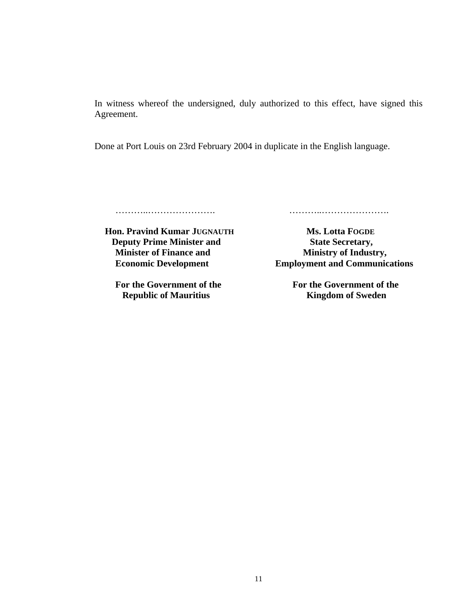In witness whereof the undersigned, duly authorized to this effect, have signed this Agreement.

Done at Port Louis on 23rd February 2004 in duplicate in the English language.

………..…………………. ………..………………….

**Hon. Pravind Kumar JUGNAUTH Ms. Lotta FOGDE Deputy Prime Minister and State Secretary, Minister of Finance and Ministry of Industry,<br>
<b>Employment and Communic**<br> **Employment and Communic** 

For the Government of the **For the Government of the Republic of Mauritius Kingdom of Sweden** 

**Employment and Communications**